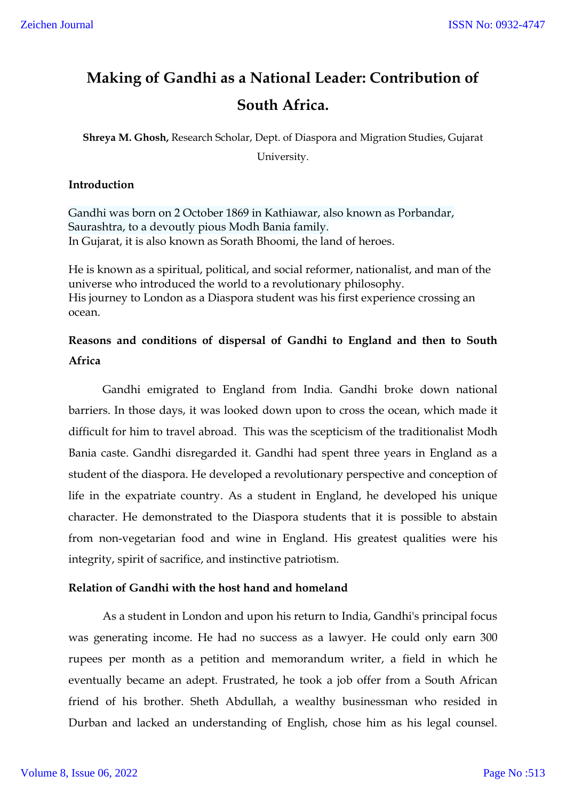# **Making of Gandhi as a National Leader: Contribution of South Africa.**

**Shreya M. Ghosh,** Research Scholar, Dept. of Diaspora and Migration Studies, Gujarat University.

## **Introduction**

Gandhi was born on 2 October 1869 in Kathiawar, also known as Porbandar, Saurashtra, to a devoutly pious Modh Bania family. In Gujarat, it is also known as Sorath Bhoomi, the land of heroes.

He is known as a spiritual, political, and social reformer, nationalist, and man of the universe who introduced the world to a revolutionary philosophy. His journey to London as a Diaspora student was his first experience crossing an ocean.

# **Reasons and conditions of dispersal of Gandhi to England and then to South Africa**

Gandhi emigrated to England from India. Gandhi broke down national barriers. In those days, it was looked down upon to cross the ocean, which made it difficult for him to travel abroad. This was the scepticism of the traditionalist Modh Bania caste. Gandhi disregarded it. Gandhi had spent three years in England as a student of the diaspora. He developed a revolutionary perspective and conception of life in the expatriate country. As a student in England, he developed his unique character. He demonstrated to the Diaspora students that it is possible to abstain from non-vegetarian food and wine in England. His greatest qualities were his integrity, spirit of sacrifice, and instinctive patriotism.

## **Relation of Gandhi with the host hand and homeland**

As a student in London and upon his return to India, Gandhi's principal focus was generating income. He had no success as a lawyer. He could only earn 300 rupees per month as a petition and memorandum writer, a field in which he eventually became an adept. Frustrated, he took a job offer from a South African friend of his brother. Sheth Abdullah, a wealthy businessman who resided in Durban and lacked an understanding of English, chose him as his legal counsel.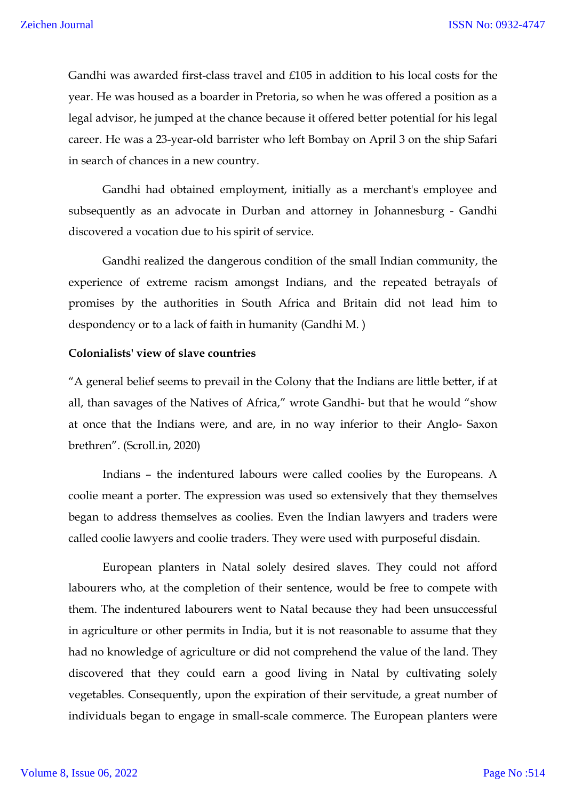Gandhi was awarded first-class travel and £105 in addition to his local costs for the year. He was housed as a boarder in Pretoria, so when he was offered a position as a legal advisor, he jumped at the chance because it offered better potential for his legal career. He was a 23-year-old barrister who left Bombay on April 3 on the ship Safari in search of chances in a new country.

Gandhi had obtained employment, initially as a merchant's employee and subsequently as an advocate in Durban and attorney in Johannesburg - Gandhi discovered a vocation due to his spirit of service.

Gandhi realized the dangerous condition of the small Indian community, the experience of extreme racism amongst Indians, and the repeated betrayals of promises by the authorities in South Africa and Britain did not lead him to despondency or to a lack of faith in humanity (Gandhi M. )

# **Colonialists' view of slave countries**

"A general belief seems to prevail in the Colony that the Indians are little better, if at all, than savages of the Natives of Africa," wrote Gandhi- but that he would "show at once that the Indians were, and are, in no way inferior to their Anglo- Saxon brethren". (Scroll.in, 2020)

Indians – the indentured labours were called coolies by the Europeans. A coolie meant a porter. The expression was used so extensively that they themselves began to address themselves as coolies. Even the Indian lawyers and traders were called coolie lawyers and coolie traders. They were used with purposeful disdain.

European planters in Natal solely desired slaves. They could not afford labourers who, at the completion of their sentence, would be free to compete with them. The indentured labourers went to Natal because they had been unsuccessful in agriculture or other permits in India, but it is not reasonable to assume that they had no knowledge of agriculture or did not comprehend the value of the land. They discovered that they could earn a good living in Natal by cultivating solely vegetables. Consequently, upon the expiration of their servitude, a great number of individuals began to engage in small-scale commerce. The European planters were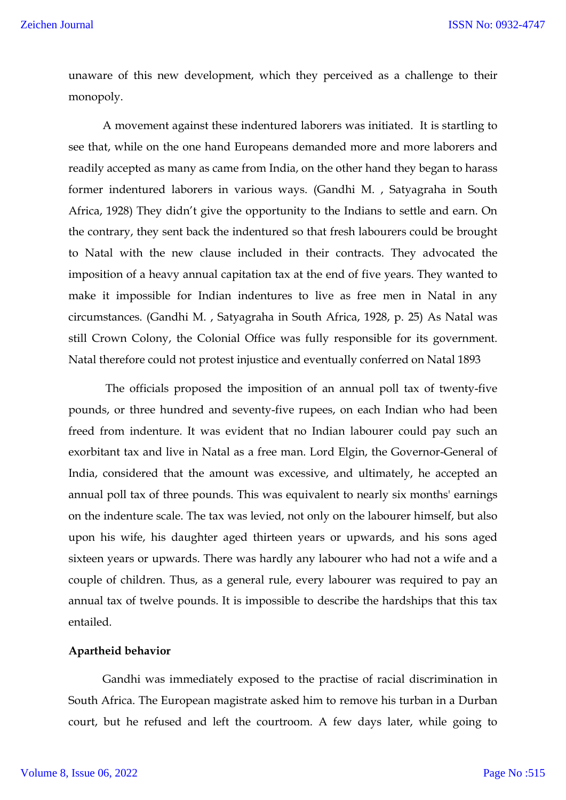unaware of this new development, which they perceived as a challenge to their monopoly.

A movement against these indentured laborers was initiated. It is startling to see that, while on the one hand Europeans demanded more and more laborers and readily accepted as many as came from India, on the other hand they began to harass former indentured laborers in various ways. (Gandhi M. , Satyagraha in South Africa, 1928) They didn't give the opportunity to the Indians to settle and earn. On the contrary, they sent back the indentured so that fresh labourers could be brought to Natal with the new clause included in their contracts. They advocated the imposition of a heavy annual capitation tax at the end of five years. They wanted to make it impossible for Indian indentures to live as free men in Natal in any circumstances. (Gandhi M. , Satyagraha in South Africa, 1928, p. 25) As Natal was still Crown Colony, the Colonial Office was fully responsible for its government. Natal therefore could not protest injustice and eventually conferred on Natal 1893

The officials proposed the imposition of an annual poll tax of twenty-five pounds, or three hundred and seventy-five rupees, on each Indian who had been freed from indenture. It was evident that no Indian labourer could pay such an exorbitant tax and live in Natal as a free man. Lord Elgin, the Governor-General of India, considered that the amount was excessive, and ultimately, he accepted an annual poll tax of three pounds. This was equivalent to nearly six months' earnings on the indenture scale. The tax was levied, not only on the labourer himself, but also upon his wife, his daughter aged thirteen years or upwards, and his sons aged sixteen years or upwards. There was hardly any labourer who had not a wife and a couple of children. Thus, as a general rule, every labourer was required to pay an annual tax of twelve pounds. It is impossible to describe the hardships that this tax entailed.

#### **Apartheid behavior**

Gandhi was immediately exposed to the practise of racial discrimination in South Africa. The European magistrate asked him to remove his turban in a Durban court, but he refused and left the courtroom. A few days later, while going to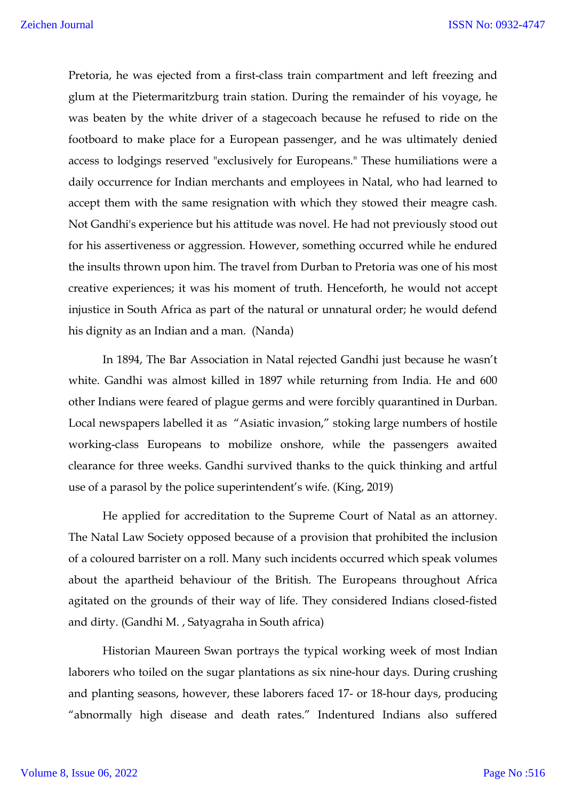Pretoria, he was ejected from a first-class train compartment and left freezing and glum at the Pietermaritzburg train station. During the remainder of his voyage, he was beaten by the white driver of a stagecoach because he refused to ride on the footboard to make place for a European passenger, and he was ultimately denied access to lodgings reserved "exclusively for Europeans." These humiliations were a daily occurrence for Indian merchants and employees in Natal, who had learned to accept them with the same resignation with which they stowed their meagre cash. Not Gandhi's experience but his attitude was novel. He had not previously stood out for his assertiveness or aggression. However, something occurred while he endured the insults thrown upon him. The travel from Durban to Pretoria was one of his most creative experiences; it was his moment of truth. Henceforth, he would not accept injustice in South Africa as part of the natural or unnatural order; he would defend his dignity as an Indian and a man. (Nanda)

In 1894, The Bar Association in Natal rejected Gandhi just because he wasn't white. Gandhi was almost killed in 1897 while returning from India. He and 600 other Indians were feared of plague germs and were forcibly quarantined in Durban. Local newspapers labelled it as "Asiatic invasion," stoking large numbers of hostile working-class Europeans to mobilize onshore, while the passengers awaited clearance for three weeks. Gandhi survived thanks to the quick thinking and artful use of a parasol by the police superintendent's wife. (King, 2019)

He applied for accreditation to the Supreme Court of Natal as an attorney. The Natal Law Society opposed because of a provision that prohibited the inclusion of a coloured barrister on a roll. Many such incidents occurred which speak volumes about the apartheid behaviour of the British. The Europeans throughout Africa agitated on the grounds of their way of life. They considered Indians closed-fisted and dirty. (Gandhi M. , Satyagraha in South africa)

Historian Maureen Swan portrays the typical working week of most Indian laborers who toiled on the sugar plantations as six nine-hour days. During crushing and planting seasons, however, these laborers faced 17- or 18-hour days, producing "abnormally high disease and death rates." Indentured Indians also suffered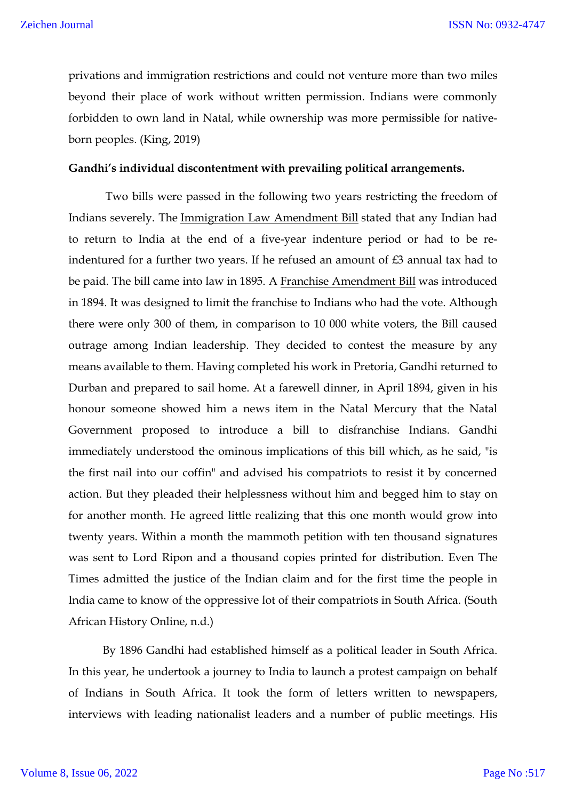privations and immigration restrictions and could not venture more than two miles beyond their place of work without written permission. Indians were commonly forbidden to own land in Natal, while ownership was more permissible for nativeborn peoples. (King, 2019)

#### **Gandhi's individual discontentment with prevailing political arrangements.**

Two bills were passed in the following two years restricting the freedom of Indians severely. The Immigration Law Amendment Bill stated that any Indian had to return to India at the end of a five-year indenture period or had to be reindentured for a further two years. If he refused an amount of  $\pounds 3$  annual tax had to be paid. The bill came into law in 1895. A Franchise Amendment Bill was introduced in 1894. It was designed to limit the franchise to Indians who had the vote. Although there were only 300 of them, in comparison to 10 000 white voters, the Bill caused outrage among Indian leadership. They decided to contest the measure by any means available to them. Having completed his work in Pretoria, Gandhi returned to Durban and prepared to sail home. At a farewell dinner, in April 1894, given in his honour someone showed him a news item in the Natal Mercury that the Natal Government proposed to introduce a bill to disfranchise Indians. Gandhi immediately understood the ominous implications of this bill which, as he said, "is the first nail into our coffin" and advised his compatriots to resist it by concerned action. But they pleaded their helplessness without him and begged him to stay on for another month. He agreed little realizing that this one month would grow into twenty years. Within a month the mammoth petition with ten thousand signatures was sent to Lord Ripon and a thousand copies printed for distribution. Even The Times admitted the justice of the Indian claim and for the first time the people in India came to know of the oppressive lot of their compatriots in South Africa. (South African History Online, n.d.)

By 1896 Gandhi had established himself as a political leader in South Africa. In this year, he undertook a journey to India to launch a protest campaign on behalf of Indians in South Africa. It took the form of letters written to newspapers, interviews with leading nationalist leaders and a number of public meetings. His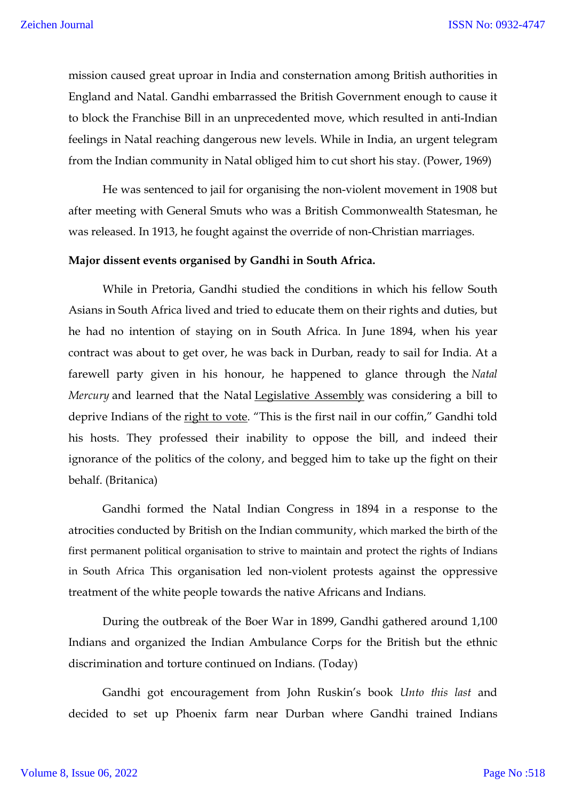mission caused great uproar in India and consternation among British authorities in England and Natal. Gandhi embarrassed the British Government enough to cause it to block the Franchise Bill in an unprecedented move, which resulted in anti-Indian feelings in Natal reaching dangerous new levels. While in India, an urgent telegram from the Indian community in Natal obliged him to cut short his stay. (Power, 1969)

He was sentenced to jail for organising the non-violent movement in 1908 but after meeting with General Smuts who was a British Commonwealth Statesman, he was released. In 1913, he fought against the override of non-Christian marriages.

#### **Major dissent events organised by Gandhi in South Africa.**

While in Pretoria, Gandhi studied the conditions in which his fellow South Asians in South Africa lived and tried to educate them on their rights and duties, but he had no intention of staying on in South Africa. In June 1894, when his year contract was about to get over, he was back in Durban, ready to sail for India. At a farewell party given in his honour, he happened to glance through the *Natal Mercury* and learned that the Natal Legislative Assembly was considering a bill to deprive Indians of the right to vote. "This is the first nail in our coffin," Gandhi told his hosts. They professed their inability to oppose the bill, and indeed their ignorance of the politics of the colony, and begged him to take up the fight on their behalf. (Britanica)

Gandhi formed the Natal Indian Congress in 1894 in a response to the atrocities conducted by British on the Indian community, which marked the birth of the first permanent political organisation to strive to maintain and protect the rights of Indians in South Africa This organisation led non-violent protests against the oppressive treatment of the white people towards the native Africans and Indians.

During the outbreak of the Boer War in 1899, Gandhi gathered around 1,100 Indians and organized the Indian Ambulance Corps for the British but the ethnic discrimination and torture continued on Indians. (Today)

Gandhi got encouragement from John Ruskin's book *Unto this last* and decided to set up Phoenix farm near Durban where Gandhi trained Indians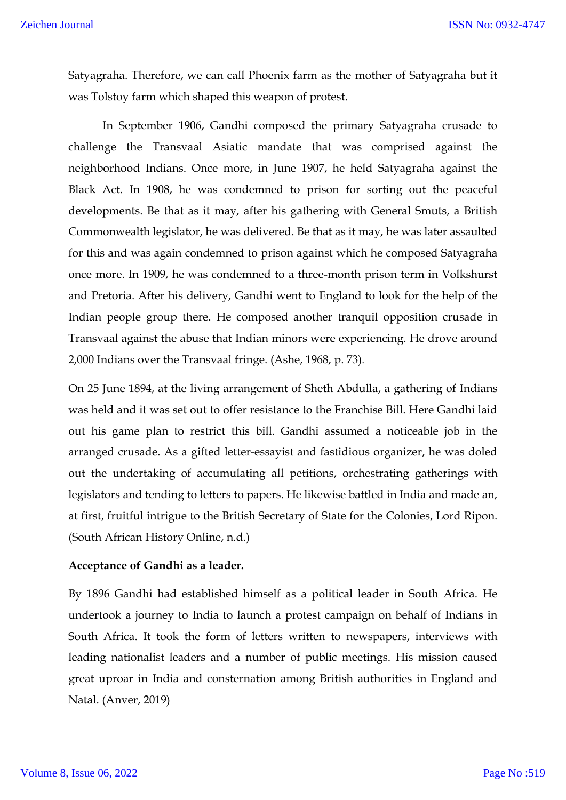Satyagraha. Therefore, we can call Phoenix farm as the mother of Satyagraha but it was Tolstoy farm which shaped this weapon of protest.

In September 1906, Gandhi composed the primary Satyagraha crusade to challenge the Transvaal Asiatic mandate that was comprised against the neighborhood Indians. Once more, in June 1907, he held Satyagraha against the Black Act. In 1908, he was condemned to prison for sorting out the peaceful developments. Be that as it may, after his gathering with General Smuts, a British Commonwealth legislator, he was delivered. Be that as it may, he was later assaulted for this and was again condemned to prison against which he composed Satyagraha once more. In 1909, he was condemned to a three-month prison term in Volkshurst and Pretoria. After his delivery, Gandhi went to England to look for the help of the Indian people group there. He composed another tranquil opposition crusade in Transvaal against the abuse that Indian minors were experiencing. He drove around 2,000 Indians over the Transvaal fringe. (Ashe, 1968, p. 73).

On 25 June 1894, at the living arrangement of Sheth Abdulla, a gathering of Indians was held and it was set out to offer resistance to the Franchise Bill. Here Gandhi laid out his game plan to restrict this bill. Gandhi assumed a noticeable job in the arranged crusade. As a gifted letter-essayist and fastidious organizer, he was doled out the undertaking of accumulating all petitions, orchestrating gatherings with legislators and tending to letters to papers. He likewise battled in India and made an, at first, fruitful intrigue to the British Secretary of State for the Colonies, Lord Ripon. (South African History Online, n.d.)

### **Acceptance of Gandhi as a leader.**

By 1896 Gandhi had established himself as a political leader in South Africa. He undertook a journey to India to launch a protest campaign on behalf of Indians in South Africa. It took the form of letters written to newspapers, interviews with leading nationalist leaders and a number of public meetings. His mission caused great uproar in India and consternation among British authorities in England and Natal. (Anver, 2019)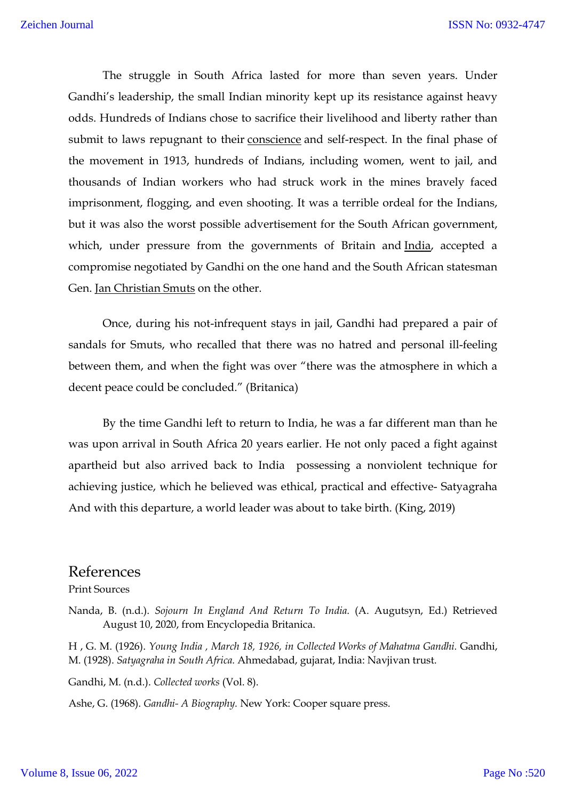The struggle in South Africa lasted for more than seven years. Under Gandhi's leadership, the small Indian minority kept up its resistance against heavy odds. Hundreds of Indians chose to sacrifice their livelihood and liberty rather than submit to laws repugnant to their conscience and self-respect. In the final phase of the movement in 1913, hundreds of Indians, including women, went to jail, and thousands of Indian workers who had struck work in the mines bravely faced imprisonment, flogging, and even shooting. It was a terrible ordeal for the Indians, but it was also the worst possible advertisement for the South African government, which, under pressure from the governments of Britain and India, accepted a compromise negotiated by Gandhi on the one hand and the South African statesman Gen. Jan Christian Smuts on the other.

Once, during his not-infrequent stays in jail, Gandhi had prepared a pair of sandals for Smuts, who recalled that there was no hatred and personal ill-feeling between them, and when the fight was over "there was the atmosphere in which a decent peace could be concluded." (Britanica)

By the time Gandhi left to return to India, he was a far different man than he was upon arrival in South Africa 20 years earlier. He not only paced a fight against apartheid but also arrived back to India possessing a nonviolent technique for achieving justice, which he believed was ethical, practical and effective- Satyagraha And with this departure, a world leader was about to take birth. (King, 2019)

# References

Print Sources

Nanda, B. (n.d.). *Sojourn In England And Return To India.* (A. Augutsyn, Ed.) Retrieved August 10, 2020, from Encyclopedia Britanica.

H , G. M. (1926). *Young India , March 18, 1926, in Collected Works of Mahatma Gandhi.* Gandhi, M. (1928). *Satyagraha in South Africa.* Ahmedabad, gujarat, India: Navjivan trust.

Gandhi, M. (n.d.). *Collected works* (Vol. 8).

Ashe, G. (1968). *Gandhi- A Biography.* New York: Cooper square press.